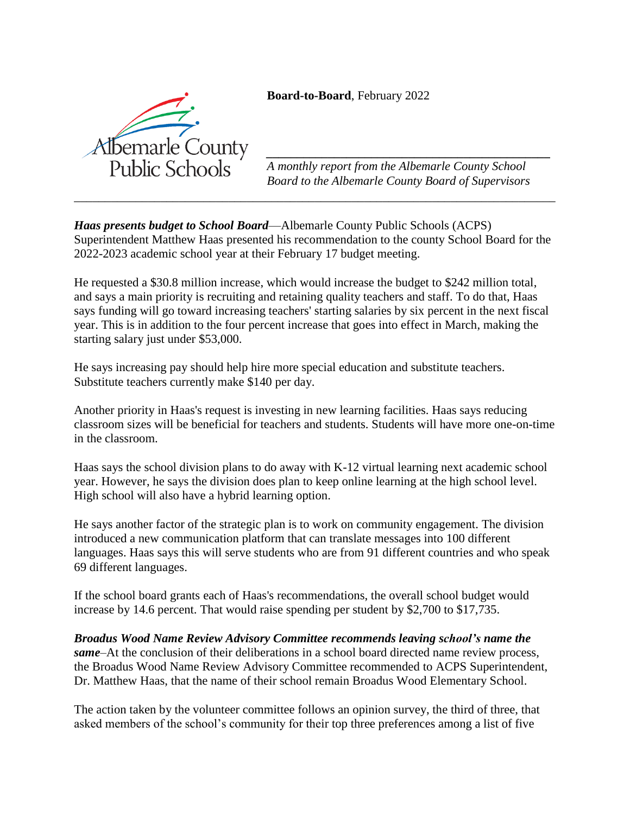**Board-to-Board**, February 2022



*\_\_\_\_\_\_\_\_\_\_\_\_\_\_\_\_\_\_\_\_\_\_\_\_\_\_\_\_\_\_\_\_\_\_\_\_\_\_\_\_\_\_\_\_\_\_ A monthly report from the Albemarle County School Board to the Albemarle County Board of Supervisors*

*Haas presents budget to School Board*—Albemarle County Public Schools (ACPS) Superintendent Matthew Haas presented his recommendation to the county School Board for the 2022-2023 academic school year at their February 17 budget meeting.

*\_\_\_\_\_\_\_\_\_\_\_\_\_\_\_\_\_\_\_\_\_\_\_\_\_\_\_\_\_\_\_\_\_\_\_\_\_\_\_\_\_\_\_\_\_\_\_\_\_\_\_\_\_\_\_\_\_\_\_\_\_\_\_\_\_\_\_\_\_\_\_\_\_\_\_\_\_\_*

He requested a \$30.8 million increase, which would increase the budget to \$242 million total, and says a main priority is recruiting and retaining quality teachers and staff. To do that, Haas says funding will go toward increasing teachers' starting salaries by six percent in the next fiscal year. This is in addition to the four percent increase that goes into effect in March, making the starting salary just under \$53,000.

He says increasing pay should help hire more special education and substitute teachers. Substitute teachers currently make \$140 per day.

Another priority in Haas's request is investing in new learning facilities. Haas says reducing classroom sizes will be beneficial for teachers and students. Students will have more one-on-time in the classroom.

Haas says the school division plans to do away with K-12 virtual learning next academic school year. However, he says the division does plan to keep online learning at the high school level. High school will also have a hybrid learning option.

He says another factor of the strategic plan is to work on community engagement. The division introduced a new communication platform that can translate messages into 100 different languages. Haas says this will serve students who are from 91 different countries and who speak 69 different languages.

If the school board grants each of Haas's recommendations, the overall school budget would increase by 14.6 percent. That would raise spending per student by \$2,700 to \$17,735.

*Broadus Wood Name Review Advisory Committee recommends leaving school's name the same*–At the conclusion of their deliberations in a school board directed name review process, the Broadus Wood Name Review Advisory Committee recommended to ACPS Superintendent, Dr. Matthew Haas, that the name of their school remain Broadus Wood Elementary School.

The action taken by the volunteer committee follows an opinion survey, the third of three, that asked members of the school's community for their top three preferences among a list of five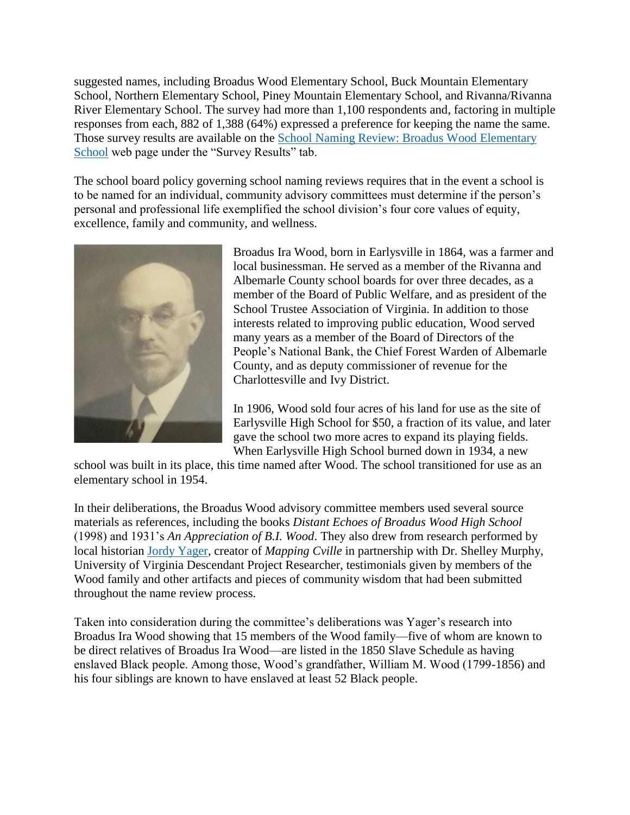suggested names, including Broadus Wood Elementary School, Buck Mountain Elementary School, Northern Elementary School, Piney Mountain Elementary School, and Rivanna/Rivanna River Elementary School. The survey had more than 1,100 respondents and, factoring in multiple responses from each, 882 of 1,388 (64%) expressed a preference for keeping the name the same. Those survey results are available on the [School Naming Review: Broadus Wood Elementary](https://www.k12albemarle.org/our-division/school-naming-review/school-names-under-review/broadus-wood-elementary-school)  [School](https://www.k12albemarle.org/our-division/school-naming-review/school-names-under-review/broadus-wood-elementary-school) web page under the "Survey Results" tab.

The school board policy governing school naming reviews requires that in the event a school is to be named for an individual, community advisory committees must determine if the person's personal and professional life exemplified the school division's four core values of equity, excellence, family and community, and wellness.



Broadus Ira Wood, born in Earlysville in 1864, was a farmer and local businessman. He served as a member of the Rivanna and Albemarle County school boards for over three decades, as a member of the Board of Public Welfare, and as president of the School Trustee Association of Virginia. In addition to those interests related to improving public education, Wood served many years as a member of the Board of Directors of the People's National Bank, the Chief Forest Warden of Albemarle County, and as deputy commissioner of revenue for the Charlottesville and Ivy District.

In 1906, Wood sold four acres of his land for use as the site of Earlysville High School for \$50, a fraction of its value, and later gave the school two more acres to expand its playing fields. When Earlysville High School burned down in 1934, a new

school was built in its place, this time named after Wood. The school transitioned for use as an elementary school in 1954.

In their deliberations, the Broadus Wood advisory committee members used several source materials as references, including the books *Distant Echoes of Broadus Wood High School* (1998) and 1931's *An Appreciation of B.I. Wood*. They also drew from research performed by local historian [Jordy Yager,](https://www.cvilletomorrow.org/author/jordy-yager) creator of *Mapping Cville* in partnership with Dr. Shelley Murphy, University of Virginia Descendant Project Researcher, testimonials given by members of the Wood family and other artifacts and pieces of community wisdom that had been submitted throughout the name review process.

Taken into consideration during the committee's deliberations was Yager's research into Broadus Ira Wood showing that 15 members of the Wood family—five of whom are known to be direct relatives of Broadus Ira Wood—are listed in the 1850 Slave Schedule as having enslaved Black people. Among those, Wood's grandfather, William M. Wood (1799-1856) and his four siblings are known to have enslaved at least 52 Black people.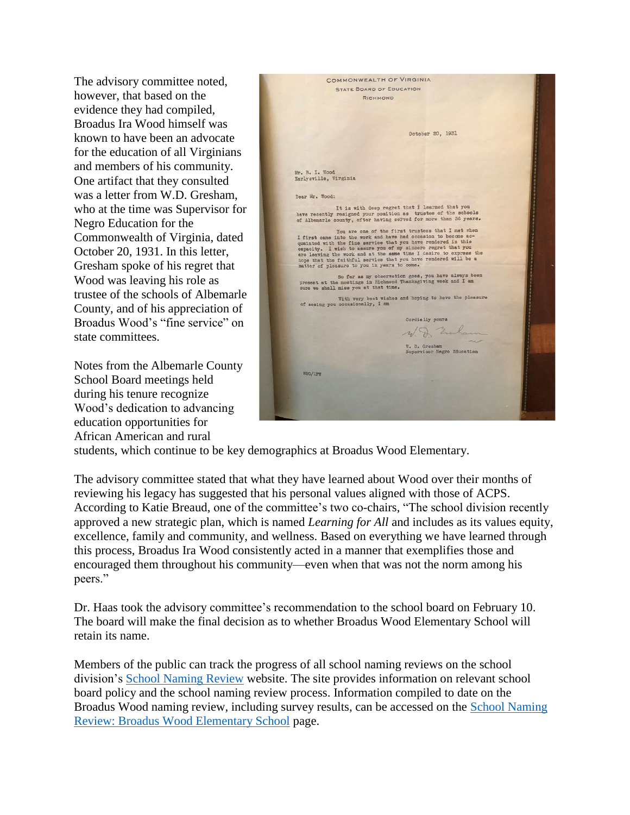The advisory committee noted, however, that based on the evidence they had compiled, Broadus Ira Wood himself was known to have been an advocate for the education of all Virginians and members of his community. One artifact that they consulted was a letter from W.D. Gresham, who at the time was Supervisor for Negro Education for the Commonwealth of Virginia, dated October 20, 1931. In this letter, Gresham spoke of his regret that Wood was leaving his role as trustee of the schools of Albemarle County, and of his appreciation of Broadus Wood's "fine service" on state committees.

Notes from the Albemarle County School Board meetings held during his tenure recognize Wood's dedication to advancing education opportunities for African American and rural

|                                             | COMMONWEALTH OF VIRGINIA                                                                                                             |  |
|---------------------------------------------|--------------------------------------------------------------------------------------------------------------------------------------|--|
|                                             | <b>STATE BOARD OF EDUCATION</b>                                                                                                      |  |
|                                             | RICHMOND                                                                                                                             |  |
|                                             |                                                                                                                                      |  |
|                                             |                                                                                                                                      |  |
|                                             |                                                                                                                                      |  |
|                                             | October 20, 1931                                                                                                                     |  |
|                                             |                                                                                                                                      |  |
|                                             |                                                                                                                                      |  |
|                                             |                                                                                                                                      |  |
| Mr. B. I. Wood<br>Earlysville, Virginia     |                                                                                                                                      |  |
|                                             |                                                                                                                                      |  |
| Dear Mr. Wood:                              |                                                                                                                                      |  |
|                                             |                                                                                                                                      |  |
|                                             | It is with deep regret that I learned that you<br>have recently resigned your position as trustee of the schools                     |  |
|                                             | of Albemarle county, after having served for more than 36 years.                                                                     |  |
|                                             | You are one of the first trustees that I met when                                                                                    |  |
|                                             | I first came into the work and have had occasion to become ac-<br>quainted with the fine service that you have rendered in this      |  |
|                                             | capacity. I wish to assure you of my sincere regret that you                                                                         |  |
|                                             | are leaving the work and at the same time I desire to express the<br>hope that the faithful service that you have rendered will be a |  |
| matter of pleasure to you in years to come. |                                                                                                                                      |  |
|                                             | So far as my observation goes, you have always been                                                                                  |  |
| sure we shall miss you at that time.        | present at the meetings in Richmond Thanksgiving week and I am                                                                       |  |
|                                             | With very best wishes and hoping to have the pleasure                                                                                |  |
| of seeing you occasionally, I am            |                                                                                                                                      |  |
|                                             |                                                                                                                                      |  |
|                                             | Cordially yours                                                                                                                      |  |
|                                             | W. D. Embaum                                                                                                                         |  |
|                                             |                                                                                                                                      |  |
|                                             | W. D. Gresham<br>Supervisor Negro Education                                                                                          |  |
|                                             |                                                                                                                                      |  |
|                                             |                                                                                                                                      |  |
| WDG/LFW                                     |                                                                                                                                      |  |
|                                             |                                                                                                                                      |  |
|                                             |                                                                                                                                      |  |
|                                             |                                                                                                                                      |  |
|                                             |                                                                                                                                      |  |

students, which continue to be key demographics at Broadus Wood Elementary.

The advisory committee stated that what they have learned about Wood over their months of reviewing his legacy has suggested that his personal values aligned with those of ACPS. According to Katie Breaud, one of the committee's two co-chairs, "The school division recently approved a new strategic plan, which is named *Learning for All* and includes as its values equity, excellence, family and community, and wellness. Based on everything we have learned through this process, Broadus Ira Wood consistently acted in a manner that exemplifies those and encouraged them throughout his community—even when that was not the norm among his peers."

Dr. Haas took the advisory committee's recommendation to the school board on February 10. The board will make the final decision as to whether Broadus Wood Elementary School will retain its name.

Members of the public can track the progress of all school naming reviews on the school division's [School Naming Review](https://www.k12albemarle.org/our-division/school-naming-review) website. The site provides information on relevant school board policy and the school naming review process. Information compiled to date on the Broadus Wood naming review, including survey results, can be accessed on the [School Naming](https://www.k12albemarle.org/our-division/school-naming-review/school-names-under-review/broadus-wood-elementary-school)  [Review: Broadus Wood Elementary School](https://www.k12albemarle.org/our-division/school-naming-review/school-names-under-review/broadus-wood-elementary-school) page.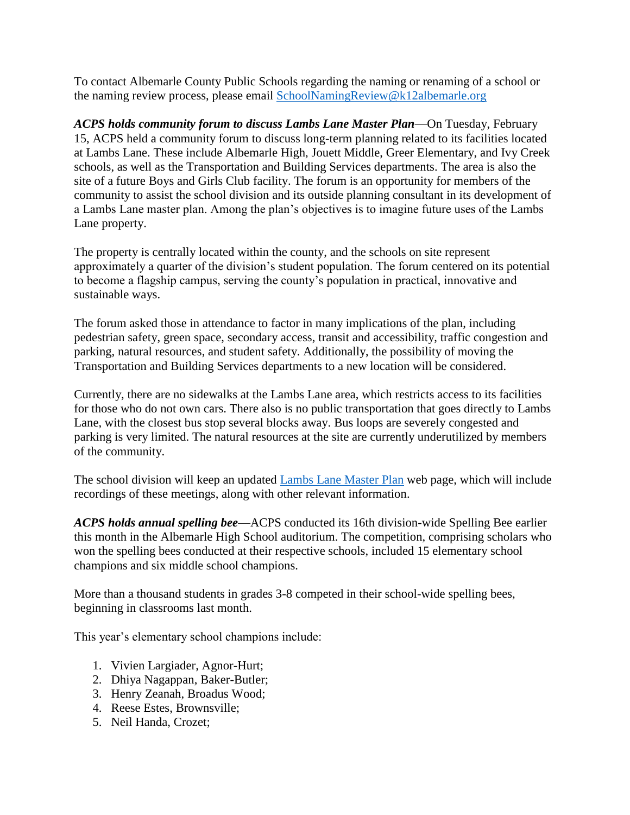To contact Albemarle County Public Schools regarding the naming or renaming of a school or the naming review process, please email [SchoolNamingReview@k12albemarle.org](mailto:SchoolNamingReview@k12albemarle.org)

*ACPS holds community forum to discuss Lambs Lane Master Plan*—On Tuesday, February 15, ACPS held a community forum to discuss long-term planning related to its facilities located at Lambs Lane. These include Albemarle High, Jouett Middle, Greer Elementary, and Ivy Creek schools, as well as the Transportation and Building Services departments. The area is also the site of a future Boys and Girls Club facility. The forum is an opportunity for members of the community to assist the school division and its outside planning consultant in its development of a Lambs Lane master plan. Among the plan's objectives is to imagine future uses of the Lambs Lane property.

The property is centrally located within the county, and the schools on site represent approximately a quarter of the division's student population. The forum centered on its potential to become a flagship campus, serving the county's population in practical, innovative and sustainable ways.

The forum asked those in attendance to factor in many implications of the plan, including pedestrian safety, green space, secondary access, transit and accessibility, traffic congestion and parking, natural resources, and student safety. Additionally, the possibility of moving the Transportation and Building Services departments to a new location will be considered.

Currently, there are no sidewalks at the Lambs Lane area, which restricts access to its facilities for those who do not own cars. There also is no public transportation that goes directly to Lambs Lane, with the closest bus stop several blocks away. Bus loops are severely congested and parking is very limited. The natural resources at the site are currently underutilized by members of the community.

The school division will keep an updated [Lambs Lane Master Plan](https://www.k12albemarle.org/our-departments/building-services/lambs-lane-master-plan) web page, which will include recordings of these meetings, along with other relevant information.

*ACPS holds annual spelling bee*—ACPS conducted its 16th division-wide Spelling Bee earlier this month in the Albemarle High School auditorium. The competition, comprising scholars who won the spelling bees conducted at their respective schools, included 15 elementary school champions and six middle school champions.

More than a thousand students in grades 3-8 competed in their school-wide spelling bees, beginning in classrooms last month.

This year's elementary school champions include:

- 1. Vivien Largiader, Agnor-Hurt;
- 2. Dhiya Nagappan, Baker-Butler;
- 3. Henry Zeanah, Broadus Wood;
- 4. Reese Estes, Brownsville;
- 5. Neil Handa, Crozet;